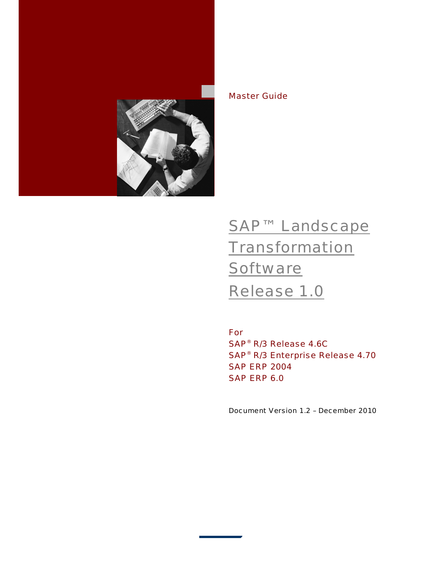

### Master Guide

SAP<sup>™</sup> Landscape **Transformation Software** Release 1.0

For SAP® R/3 Release 4.6C SAP® R/3 Enterprise Release 4.70 SAP ERP 2004 SAP ERP 6.0

Document Version 1.2 – December 2010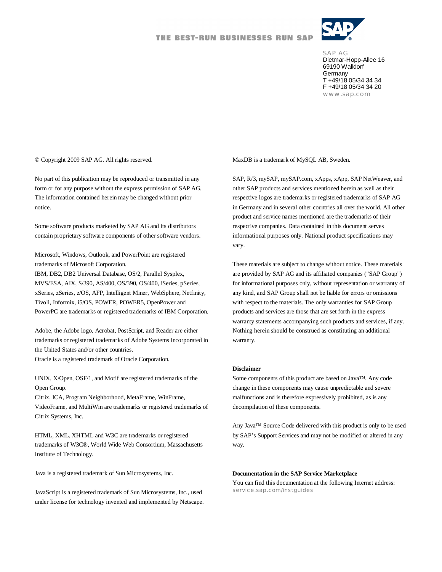#### THE BEST-RUN BUSINESSES RUN SAF



SAP AG Dietmar-Hopp-Allee 16 69190 Walldorf **Germany** T +49/18 05/34 34 34 F +49/18 05/34 34 20 [www.sap.com](http://www.sap.com)

© Copyright 2009 SAP AG. All rights reserved.

No part of this publication may be reproduced or transmitted in any form or for any purpose without the express permission of SAP AG. The information contained herein may be changed without prior notice.

Some software products marketed by SAP AG and its distributors contain proprietary software components of other software vendors.

Microsoft, Windows, Outlook, and PowerPoint are registered trademarks of Microsoft Corporation. IBM, DB2, DB2 Universal Database, OS/2, Parallel Sysplex, MVS/ESA, AIX, S/390, AS/400, OS/390, OS/400, iSeries, pSeries, xSeries, zSeries, z/OS, AFP, Intelligent Miner, WebSphere, Netfinity, Tivoli, Informix, i5/OS, POWER, POWER5, OpenPower and PowerPC are trademarks or registered trademarks of IBM Corporation.

Adobe, the Adobe logo, Acrobat, PostScript, and Reader are either trademarks or registered trademarks of Adobe Systems Incorporated in the United States and/or other countries. Oracle is a registered trademark of Oracle Corporation.

UNIX, X/Open, OSF/1, and Motif are registered trademarks of the Open Group.

Citrix, ICA, Program Neighborhood, MetaFrame, WinFrame, VideoFrame, and MultiWin are trademarks or registered trademarks of Citrix Systems, Inc.

HTML, XML, XHTML and W3C are trademarks or registered trademarks of W3C®, World Wide Web Consortium, Massachusetts Institute of Technology.

Java is a registered trademark of Sun Microsystems, Inc.

JavaScript is a registered trademark of Sun Microsystems, Inc., used under license for technology invented and implemented by Netscape. MaxDB is a trademark of MySQL AB, Sweden.

SAP, R/3, mySAP, mySAP.com, xApps, xApp, SAP NetWeaver, and other SAP products and services mentioned herein as well as their respective logos are trademarks or registered trademarks of SAP AG in Germany and in several other countries all over the world. All other product and service names mentioned are the trademarks of their respective companies. Data contained in this document serves informational purposes only. National product specifications may vary.

These materials are subject to change without notice. These materials are provided by SAP AG and its affiliated companies ("SAP Group") for informational purposes only, without representation or warranty of any kind, and SAP Group shall not be liable for errors or omissions with respect to the materials. The only warranties for SAP Group products and services are those that are set forth in the express warranty statements accompanying such products and services, if any. Nothing herein should be construed as constituting an additional warranty.

#### **Disclaimer**

Some components of this product are based on Java™. Any code change in these components may cause unpredictable and severe malfunctions and is therefore expressively prohibited, as is any decompilation of these components.

Any Java™ Source Code delivered with this product is only to be used by SAP's Support Services and may not be modified or altered in any way.

#### **Documentation in the SAP Service Marketplace**

You can find this documentation at the following Internet address: service.sap.com/instguides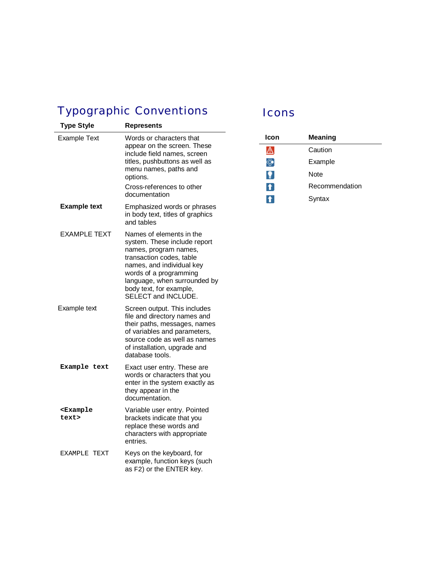## Typographic Conventions

| <b>Type Style</b>                 | <b>Represents</b>                                                                                                                                                                                                                                      |
|-----------------------------------|--------------------------------------------------------------------------------------------------------------------------------------------------------------------------------------------------------------------------------------------------------|
| <b>Example Text</b>               | Words or characters that<br>appear on the screen. These<br>include field names, screen<br>titles, pushbuttons as well as<br>menu names, paths and<br>options.<br>Cross-references to other<br>documentation                                            |
| <b>Example text</b>               | Emphasized words or phrases<br>in body text, titles of graphics<br>and tables                                                                                                                                                                          |
| <b>EXAMPLE TEXT</b>               | Names of elements in the<br>system. These include report<br>names, program names,<br>transaction codes, table<br>names, and individual key<br>words of a programming<br>language, when surrounded by<br>body text, for example,<br>SELECT and INCLUDE. |
| Example text                      | Screen output. This includes<br>file and directory names and<br>their paths, messages, names<br>of variables and parameters,<br>source code as well as names<br>of installation, upgrade and<br>database tools.                                        |
| Example text                      | Exact user entry. These are<br>words or characters that you<br>enter in the system exactly as<br>they appear in the<br>documentation.                                                                                                                  |
| <example<br>text&gt;</example<br> | Variable user entry. Pointed<br>brackets indicate that you<br>replace these words and<br>characters with appropriate<br>entries.                                                                                                                       |
| EXAMPLE TEXT                      | Keys on the keyboard, for<br>example, function keys (such<br>as F2) or the ENTER key.                                                                                                                                                                  |

## **Icons**

| Icon | Meaning        |
|------|----------------|
|      | Caution        |
|      | Example        |
| м    | Note           |
| ↑    | Recommendation |
|      | Syntax         |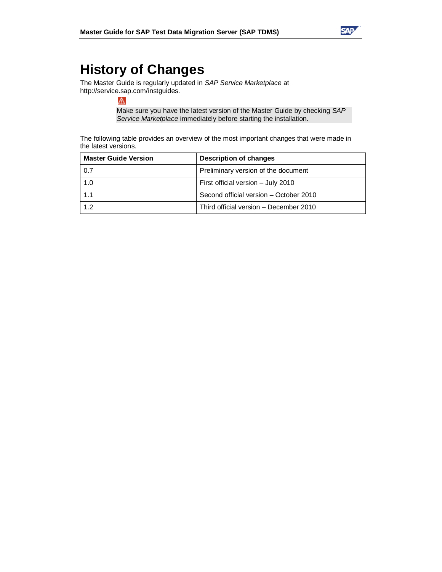

## **History of Changes**

The Master Guide is regularly updated in *SAP Service Marketplace* at <http://service.sap.com/instguides.>

⚠

Make sure you have the latest version of the Master Guide by checking *SAP Service Marketplace* immediately before starting the installation.

The following table provides an overview of the most important changes that were made in the latest versions.

| <b>Master Guide Version</b> | <b>Description of changes</b>          |  |
|-----------------------------|----------------------------------------|--|
| 0.7                         | Preliminary version of the document    |  |
| 1.0                         | First official version - July 2010     |  |
| 1.1                         | Second official version – October 2010 |  |
| 1.2                         | Third official version - December 2010 |  |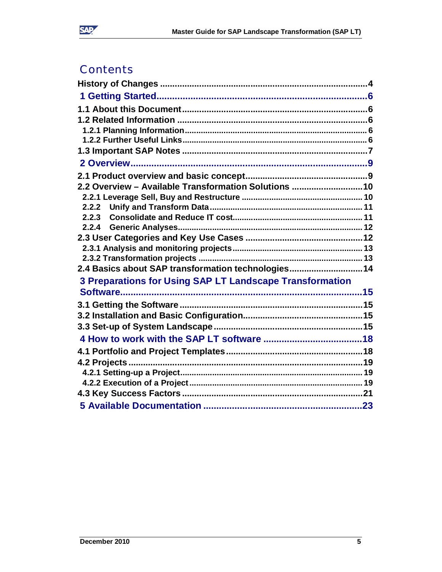

## Contents

| 2.2 Overview - Available Transformation Solutions 10     |  |
|----------------------------------------------------------|--|
|                                                          |  |
| 2.2.2                                                    |  |
| 2.2.3                                                    |  |
|                                                          |  |
|                                                          |  |
|                                                          |  |
| 2.4 Basics about SAP transformation technologies14       |  |
| 3 Preparations for Using SAP LT Landscape Transformation |  |
|                                                          |  |
|                                                          |  |
|                                                          |  |
|                                                          |  |
|                                                          |  |
|                                                          |  |
|                                                          |  |
|                                                          |  |
|                                                          |  |
|                                                          |  |
|                                                          |  |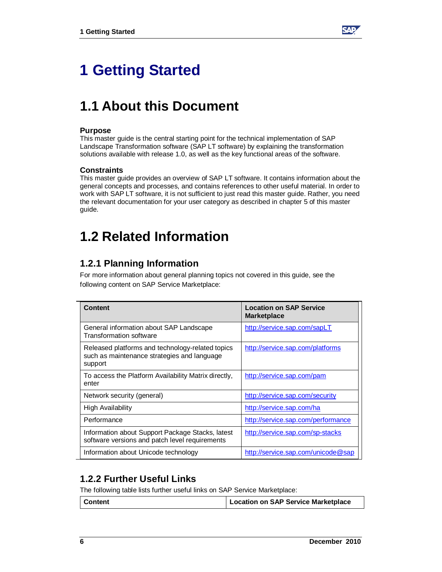

# **1 Getting Started**

# **1.1 About this Document**

#### **Purpose**

This master guide is the central starting point for the technical implementation of SAP Landscape Transformation software (SAP LT software) by explaining the transformation solutions available with release 1.0, as well as the key functional areas of the software.

#### **Constraints**

This master guide provides an overview of SAP LT software. It contains information about the general concepts and processes, and contains references to other useful material. In order to work with SAP LT software, it is not sufficient to just read this master guide. Rather, you need the relevant documentation for your user category as described in chapter 5 of this master guide.

# **1.2 Related Information**

### **1.2.1 Planning Information**

For more information about general planning topics not covered in this guide, see the following content on SAP Service Marketplace:

| Content                                                                                                    | <b>Location on SAP Service</b><br><b>Marketplace</b> |
|------------------------------------------------------------------------------------------------------------|------------------------------------------------------|
| General information about SAP Landscape<br>Transformation software                                         | http://service.sap.com/sapLT                         |
| Released platforms and technology-related topics<br>such as maintenance strategies and language<br>support | http://service.sap.com/platforms                     |
| To access the Platform Availability Matrix directly,<br>enter                                              | http://service.sap.com/pam                           |
| Network security (general)                                                                                 | http://service.sap.com/security                      |
| High Availability                                                                                          | http://service.sap.com/ha                            |
| Performance                                                                                                | http://service.sap.com/performance                   |
| Information about Support Package Stacks, latest<br>software versions and patch level requirements         | http://service.sap.com/sp-stacks                     |
| Information about Unicode technology                                                                       | http://service.sap.com/unicode@sap                   |

### **1.2.2 Further Useful Links**

The following table lists further useful links on SAP Service Marketplace: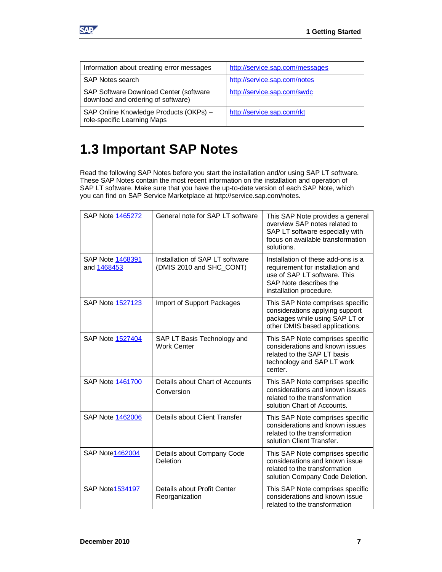

| Information about creating error messages                                    | http://service.sap.com/messages |
|------------------------------------------------------------------------------|---------------------------------|
| <b>SAP Notes search</b>                                                      | http://service.sap.com/notes    |
| SAP Software Download Center (software<br>download and ordering of software) | http://service.sap.com/swdc     |
| SAP Online Knowledge Products (OKPs) -<br>role-specific Learning Maps        | http://service.sap.com/rkt      |

## **1.3 Important SAP Notes**

Read the following SAP Notes before you start the installation and/or using SAP LT software. These SAP Notes contain the most recent information on the installation and operation of SAP LT software. Make sure that you have the up-to-date version of each SAP Note, which you can find on SAP Service Marketplace at<http://service.sap.com/notes.>

| SAP Note 1465272                | General note for SAP LT software                            | This SAP Note provides a general<br>overview SAP notes related to<br>SAP LT software especially with<br>focus on available transformation<br>solutions.     |
|---------------------------------|-------------------------------------------------------------|-------------------------------------------------------------------------------------------------------------------------------------------------------------|
| SAP Note 1468391<br>and 1468453 | Installation of SAP LT software<br>(DMIS 2010 and SHC_CONT) | Installation of these add-ons is a<br>requirement for installation and<br>use of SAP LT software. This<br>SAP Note describes the<br>installation procedure. |
| SAP Note 1527123                | Import of Support Packages                                  | This SAP Note comprises specific<br>considerations applying support<br>packages while using SAP LT or<br>other DMIS based applications.                     |
| SAP Note 1527404                | SAP LT Basis Technology and<br><b>Work Center</b>           | This SAP Note comprises specific<br>considerations and known issues<br>related to the SAP LT basis<br>technology and SAP LT work<br>center.                 |
| SAP Note 1461700                | Details about Chart of Accounts<br>Conversion               | This SAP Note comprises specific<br>considerations and known issues<br>related to the transformation<br>solution Chart of Accounts.                         |
| SAP Note 1462006                | Details about Client Transfer                               | This SAP Note comprises specific<br>considerations and known issues<br>related to the transformation<br>solution Client Transfer.                           |
| <b>SAP Note1462004</b>          | Details about Company Code<br>Deletion                      | This SAP Note comprises specific<br>considerations and known issue<br>related to the transformation<br>solution Company Code Deletion.                      |
| <b>SAP Note1534197</b>          | Details about Profit Center<br>Reorganization               | This SAP Note comprises specific<br>considerations and known issue<br>related to the transformation                                                         |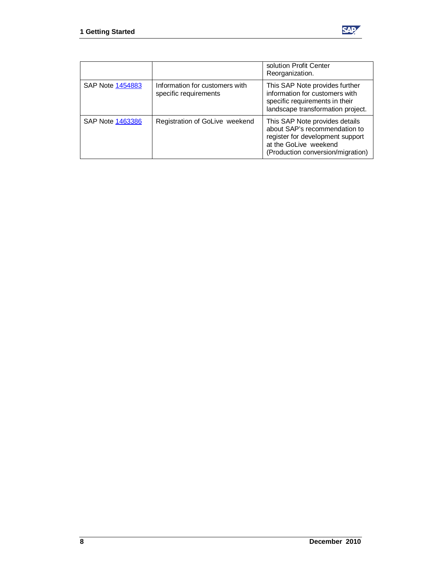

|                         |                                                         | solution Profit Center<br>Reorganization.                                                                                                                         |
|-------------------------|---------------------------------------------------------|-------------------------------------------------------------------------------------------------------------------------------------------------------------------|
| <b>SAP Note 1454883</b> | Information for customers with<br>specific requirements | This SAP Note provides further<br>information for customers with<br>specific requirements in their<br>landscape transformation project.                           |
| SAP Note 1463386        | Registration of GoLive weekend                          | This SAP Note provides details<br>about SAP's recommendation to<br>register for development support<br>at the GoLive weekend<br>(Production conversion/migration) |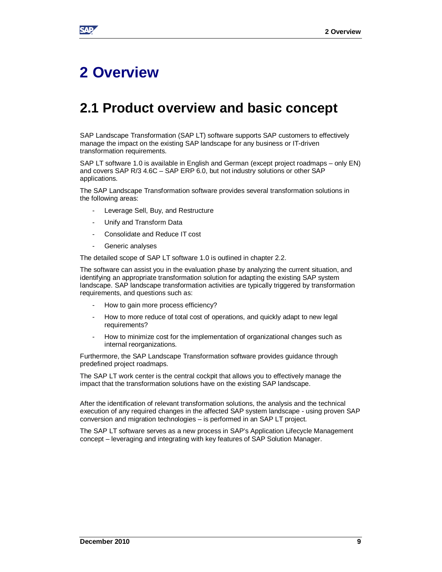

## **2 Overview**

## **2.1 Product overview and basic concept**

SAP Landscape Transformation (SAP LT) software supports SAP customers to effectively manage the impact on the existing SAP landscape for any business or IT-driven transformation requirements.

SAP LT software 1.0 is available in English and German (except project roadmaps – only EN) and covers SAP R/3 4.6C – SAP ERP 6.0, but not industry solutions or other SAP applications.

The SAP Landscape Transformation software provides several transformation solutions in the following areas:

- Leverage Sell, Buy, and Restructure
- Unify and Transform Data
- Consolidate and Reduce IT cost
- Generic analyses

The detailed scope of SAP LT software 1.0 is outlined in chapter 2.2.

The software can assist you in the evaluation phase by analyzing the current situation, and identifying an appropriate transformation solution for adapting the existing SAP system landscape. SAP landscape transformation activities are typically triggered by transformation requirements, and questions such as:

- How to gain more process efficiency?
- How to more reduce of total cost of operations, and quickly adapt to new legal requirements?
- How to minimize cost for the implementation of organizational changes such as internal reorganizations.

Furthermore, the SAP Landscape Transformation software provides guidance through predefined project roadmaps.

The SAP LT work center is the central cockpit that allows you to effectively manage the impact that the transformation solutions have on the existing SAP landscape.

After the identification of relevant transformation solutions, the analysis and the technical execution of any required changes in the affected SAP system landscape - using proven SAP conversion and migration technologies – is performed in an SAP LT project.

The SAP LT software serves as a new process in SAP's Application Lifecycle Management concept – leveraging and integrating with key features of SAP Solution Manager.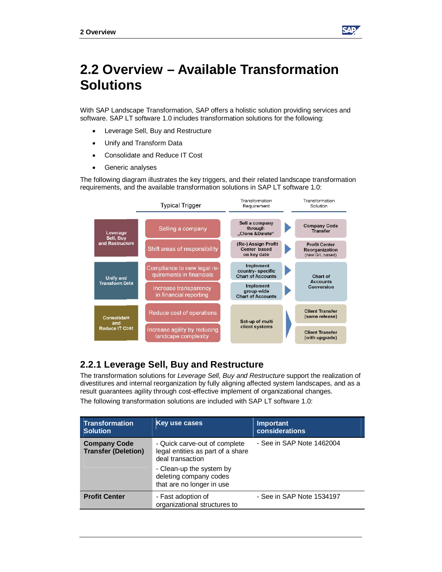

## **2.2 Overview – Available Transformation Solutions**

With SAP Landscape Transformation, SAP offers a holistic solution providing services and software. SAP LT software 1.0 includes transformation solutions for the following:

- Leverage Sell, Buy and Restructure
- Unify and Transform Data
- Consolidate and Reduce IT Cost
- Generic analyses

The following diagram illustrates the key triggers, and their related landscape transformation requirements, and the available transformation solutions in SAP LT software 1.0:



### **2.2.1 Leverage Sell, Buy and Restructure**

The transformation solutions for *Leverage Sell, Buy and Restructure* support the realization of divestitures and internal reorganization by fully aligning affected system landscapes, and as a result guarantees agility through cost-effective implement of organizational changes. The following transformation solutions are included with SAP LT software 1.0:

| <b>Transformation</b><br><b>Solution</b>          | Key use cases                                                                          | Important<br>considerations |
|---------------------------------------------------|----------------------------------------------------------------------------------------|-----------------------------|
| <b>Company Code</b><br><b>Transfer (Deletion)</b> | - Quick carve-out of complete<br>legal entities as part of a share<br>deal transaction | - See in SAP Note 1462004   |
|                                                   | - Clean-up the system by<br>deleting company codes<br>that are no longer in use        |                             |
| <b>Profit Center</b>                              | - Fast adoption of<br>organizational structures to                                     | - See in SAP Note 1534197   |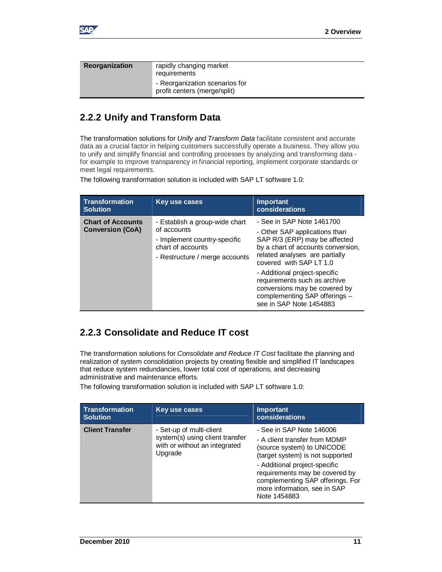

| Reorganization | rapidly changing market<br>requirements                        |
|----------------|----------------------------------------------------------------|
|                | - Reorganization scenarios for<br>profit centers (merge/split) |

### **2.2.2 Unify and Transform Data**

The transformation solutions for *Unify and Transform Data* facilitate consistent and accurate data as a crucial factor in helping customers successfully operate a business. They allow you to unify and simplify financial and controlling processes by analyzing and transforming data for example to improve transparency in financial reporting, implement corporate standards or meet legal requirements.

The following transformation solution is included with SAP LT software 1.0:

| <b>Transformation</b><br><b>Solution</b>            | Key use cases                                                                                                                        | <b>Important</b><br>considerations                                                                                                                                                                                                                                                                                                                           |
|-----------------------------------------------------|--------------------------------------------------------------------------------------------------------------------------------------|--------------------------------------------------------------------------------------------------------------------------------------------------------------------------------------------------------------------------------------------------------------------------------------------------------------------------------------------------------------|
| <b>Chart of Accounts</b><br><b>Conversion (CoA)</b> | - Establish a group-wide chart<br>of accounts<br>- Implement country-specific<br>chart of accounts<br>- Restructure / merge accounts | - See in SAP Note 1461700<br>- Other SAP applications than<br>SAP R/3 (ERP) may be affected<br>by a chart of accounts conversion,<br>related analyses are partially<br>covered with SAP LT 1.0<br>- Additional project-specific<br>requirements such as archive<br>conversions may be covered by<br>complementing SAP offerings -<br>see in SAP Note 1454883 |

### **2.2.3 Consolidate and Reduce IT cost**

The transformation solutions for *Consolidate and Reduce IT Cost* facilitate the planning and realization of system consolidation projects by creating flexible and simplified IT landscapes that reduce system redundancies, lower total cost of operations, and decreasing administrative and maintenance efforts.

| <b>Transformation</b><br><b>Solution</b> | Key use cases                                                                                           | <b>Important</b><br>considerations                                                                                                                                                                                                                                                 |
|------------------------------------------|---------------------------------------------------------------------------------------------------------|------------------------------------------------------------------------------------------------------------------------------------------------------------------------------------------------------------------------------------------------------------------------------------|
| <b>Client Transfer</b>                   | - Set-up of multi-client<br>system(s) using client transfer<br>with or without an integrated<br>Upgrade | - See in SAP Note 146006<br>- A client transfer from MDMP<br>(source system) to UNICODE<br>(target system) is not supported<br>- Additional project-specific<br>requirements may be covered by<br>complementing SAP offerings. For<br>more information, see in SAP<br>Note 1454883 |

The following transformation solution is included with SAP LT software 1.0: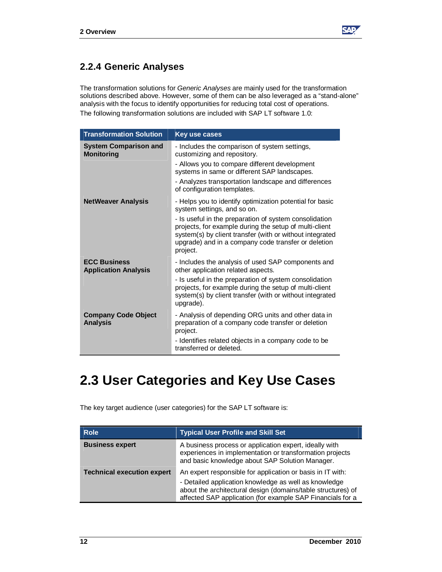

### **2.2.4 Generic Analyses**

The transformation solutions for *Generic Analyses* are mainly used for the transformation solutions described above. However, some of them can be also leveraged as a "stand-alone" analysis with the focus to identify opportunities for reducing total cost of operations. The following transformation solutions are included with SAP LT software 1.0:

| <b>Transformation Solution</b>                     | Key use cases                                                                                                                                                                                                                                   |
|----------------------------------------------------|-------------------------------------------------------------------------------------------------------------------------------------------------------------------------------------------------------------------------------------------------|
| <b>System Comparison and</b><br><b>Monitoring</b>  | - Includes the comparison of system settings,<br>customizing and repository.<br>- Allows you to compare different development<br>systems in same or different SAP landscapes.                                                                   |
|                                                    | - Analyzes transportation landscape and differences<br>of configuration templates.                                                                                                                                                              |
| <b>NetWeaver Analysis</b>                          | - Helps you to identify optimization potential for basic<br>system settings, and so on.                                                                                                                                                         |
|                                                    | - Is useful in the preparation of system consolidation<br>projects, for example during the setup of multi-client<br>system(s) by client transfer (with or without integrated<br>upgrade) and in a company code transfer or deletion<br>project. |
| <b>ECC Business</b><br><b>Application Analysis</b> | - Includes the analysis of used SAP components and<br>other application related aspects.                                                                                                                                                        |
|                                                    | - Is useful in the preparation of system consolidation<br>projects, for example during the setup of multi-client<br>system(s) by client transfer (with or without integrated<br>upgrade).                                                       |
| <b>Company Code Object</b><br><b>Analysis</b>      | - Analysis of depending ORG units and other data in<br>preparation of a company code transfer or deletion<br>project.                                                                                                                           |
|                                                    | - Identifies related objects in a company code to be<br>transferred or deleted.                                                                                                                                                                 |

## **2.3 User Categories and Key Use Cases**

The key target audience (user categories) for the SAP LT software is:

| <b>Role</b>                       | <b>Typical User Profile and Skill Set</b>                                                                                                                                                                                                         |
|-----------------------------------|---------------------------------------------------------------------------------------------------------------------------------------------------------------------------------------------------------------------------------------------------|
| <b>Business expert</b>            | A business process or application expert, ideally with<br>experiences in implementation or transformation projects<br>and basic knowledge about SAP Solution Manager.                                                                             |
| <b>Technical execution expert</b> | An expert responsible for application or basis in IT with:<br>- Detailed application knowledge as well as knowledge<br>about the architectural design (domains/table structures) of<br>affected SAP application (for example SAP Financials for a |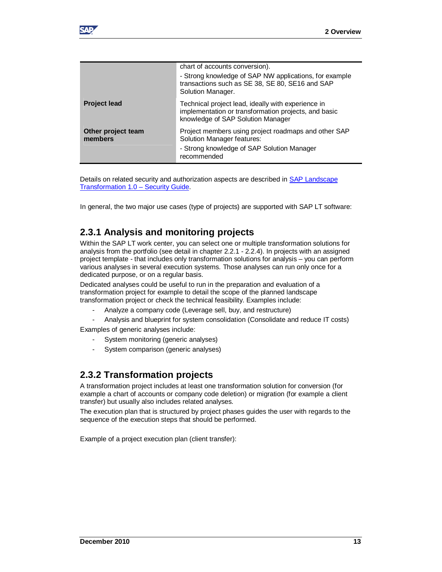

|                               | chart of accounts conversion).                                                                                                                  |
|-------------------------------|-------------------------------------------------------------------------------------------------------------------------------------------------|
|                               | - Strong knowledge of SAP NW applications, for example<br>transactions such as SE 38, SE 80, SE16 and SAP<br>Solution Manager.                  |
| <b>Project lead</b>           | Technical project lead, ideally with experience in<br>implementation or transformation projects, and basic<br>knowledge of SAP Solution Manager |
| Other project team<br>members | Project members using project roadmaps and other SAP<br>Solution Manager features:                                                              |
|                               | - Strong knowledge of SAP Solution Manager<br>recommended                                                                                       |

Details on related security and authorization aspects are described in SAP Landscape Transformation 1.0 – Security Guide.

In general, the two major use cases (type of projects) are supported with SAP LT software:

### **2.3.1 Analysis and monitoring projects**

Within the SAP LT work center, you can select one or multiple transformation solutions for analysis from the portfolio (see detail in chapter 2.2.1 - 2.2.4). In projects with an assigned project template - that includes only transformation solutions for analysis – you can perform various analyses in several execution systems. Those analyses can run only once for a dedicated purpose, or on a regular basis.

Dedicated analyses could be useful to run in the preparation and evaluation of a transformation project for example to detail the scope of the planned landscape transformation project or check the technical feasibility. Examples include:

- Analyze a company code (Leverage sell, buy, and restructure)

- Analysis and blueprint for system consolidation (Consolidate and reduce IT costs) Examples of generic analyses include:

- System monitoring (generic analyses)
- System comparison (generic analyses)

### **2.3.2 Transformation projects**

A transformation project includes at least one transformation solution for conversion (for example a chart of accounts or company code deletion) or migration (for example a client transfer) but usually also includes related analyses.

The execution plan that is structured by project phases guides the user with regards to the sequence of the execution steps that should be performed.

Example of a project execution plan (client transfer):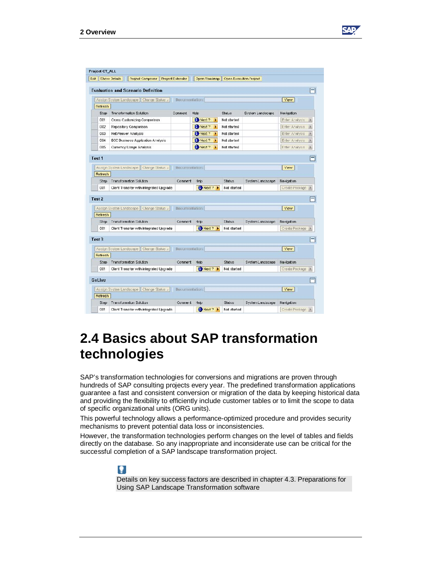

| Project CT_ALL    |                                           |                         |                      |                        |                  |                      |
|-------------------|-------------------------------------------|-------------------------|----------------------|------------------------|------------------|----------------------|
| Ecr               | Show Details<br>Project Composer          | <b>Project Extender</b> | Open Roadmap         | Open Execution Project |                  |                      |
|                   | <b>Evaluation and Scenario Definition</b> |                         |                      |                        |                  |                      |
|                   | Assign System Landscape   Change Status   | Documentation:          |                      |                        |                  | View                 |
| Retresh           |                                           |                         |                      |                        |                  |                      |
| Step              | Transformation Solution                   | Comment                 | Help                 | Status                 | System Landscape | Navigation           |
| 001               | Cross Customizing Comperison              |                         | Next ?<br>٠          | Not started            |                  | Enter Analysis<br>D. |
| OO2               | Repository Comparison                     |                         | <b>D</b> Next ?<br>٠ | Not started            |                  | Enter Analysis       |
| 003               | NetWeaver Analysis                        |                         | Next?<br>٠           | Not started            |                  | Enter Analysis       |
| 004               | ECC Business Application Analysis         |                         | Next ?<br>٠          | Not started            |                  | Enter Analysis       |
| <b>DDS</b>        | Currency Usage Analysis                   |                         | to Next ?            | Not started            |                  | Enter Analysis       |
| Test 1            |                                           |                         |                      |                        |                  |                      |
|                   | Assign System Landscape   Change Status   | Bocumentation:          |                      |                        |                  | View                 |
| Refresh           |                                           |                         |                      |                        |                  |                      |
| Step              | <b>Transformation Solution</b>            | Comment                 | Help                 | Status                 | System Landscape | Navigation           |
| <b>DD1</b>        | Client Transfer with integrated Upgrade   |                         | $Next$ ?             | Not started            |                  | Create Package A     |
|                   |                                           |                         |                      |                        |                  |                      |
| Test 2            |                                           |                         |                      |                        |                  |                      |
|                   | Assign System Londscape   Change Status   | <b>Becumentation:</b>   |                      |                        |                  | <b>View</b>          |
| Retresh           |                                           |                         |                      |                        |                  |                      |
| Step              | <b>Transformation Solution</b>            | Comment.                | Help                 | Status                 | System Landscape | Navigation           |
| OO1               | Client Transfer with Integrated Upcrade   |                         | Next ?<br>٠          | Not started            |                  | Create Package<br>D. |
| Test <sub>3</sub> |                                           |                         |                      |                        |                  |                      |
|                   |                                           |                         |                      |                        |                  |                      |
|                   | Change Status<br>Assign System Landscape  | Documentation:          |                      |                        |                  | View                 |
| <b>Retresh</b>    |                                           |                         |                      |                        |                  |                      |
| Step              | <b>Transformation Solution</b>            | Comment                 | Help                 | Status                 | System Landscape | Navigation           |
| DO1               | Client Transfer with integrated Upgrade   |                         | Next ?               | Not started            |                  | Create Package       |
| GoLive            |                                           |                         |                      |                        |                  |                      |
|                   | Assign System Landscape   Change Status   | Documentation:          |                      |                        |                  | View                 |
| Retresh           |                                           |                         |                      |                        |                  |                      |
|                   |                                           |                         |                      |                        |                  |                      |
| $S$ ep            | <b>Transformation Solution</b>            | Comment                 | Help                 | Status                 | System Landscape | Navigation           |

## **2.4 Basics about SAP transformation technologies**

SAP's transformation technologies for conversions and migrations are proven through hundreds of SAP consulting projects every year. The predefined transformation applications guarantee a fast and consistent conversion or migration of the data by keeping historical data and providing the flexibility to efficiently include customer tables or to limit the scope to data of specific organizational units (ORG units).

This powerful technology allows a performance-optimized procedure and provides security mechanisms to prevent potential data loss or inconsistencies.

However, the transformation technologies perform changes on the level of tables and fields directly on the database. So any inappropriate and inconsiderate use can be critical for the successful completion of a SAP landscape transformation project.

### Ω

Details on key success factors are described in chapter 4.3. Preparations for Using SAP Landscape Transformation software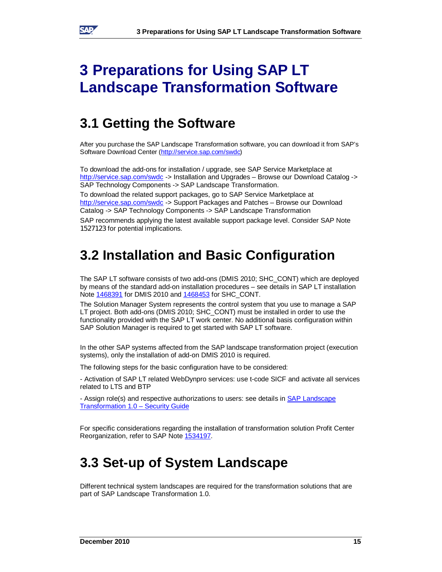

# **3 Preparations for Using SAP LT Landscape Transformation Software**

## **3.1 Getting the Software**

After you purchase the SAP Landscape Transformation software, you can download it from SAP's Software Download Center [\(http://service.sap.com/swdc\)](http://service.sap.com/swdc)

To download the add-ons for installation / upgrade, see SAP Service Marketplace at <http://service.sap.com/swdc>-> Installation and Upgrades - Browse our Download Catalog -> SAP Technology Components -> SAP Landscape Transformation.

To download the related support packages, go to SAP Service Marketplace at <http://service.sap.com/swdc>-> Support Packages and Patches – Browse our Download Catalog -> SAP Technology Components -> SAP Landscape Transformation

SAP recommends applying the latest available support package level. Consider SAP Note 1527123 for potential implications.

## **3.2 Installation and Basic Configuration**

The SAP LT software consists of two add-ons (DMIS 2010; SHC\_CONT) which are deployed by means of the standard add-on installation procedures – see details in SAP LT installation Note 1468391 for DMIS 2010 and 1468453 for SHC\_CONT.

The Solution Manager System represents the control system that you use to manage a SAP LT project. Both add-ons (DMIS 2010; SHC\_CONT) must be installed in order to use the functionality provided with the SAP LT work center. No additional basis configuration within SAP Solution Manager is required to get started with SAP LT software.

In the other SAP systems affected from the SAP landscape transformation project (execution systems), only the installation of add-on DMIS 2010 is required.

The following steps for the basic configuration have to be considered:

- Activation of SAP LT related WebDynpro services: use t-code SICF and activate all services related to LTS and BTP

- Assign role(s) and respective authorizations to users: see details in SAP Landscape Transformation 1.0 – Security Guide

For specific considerations regarding the installation of transformation solution Profit Center Reorganization, refer to SAP Note 1534197.

## **3.3 Set-up of System Landscape**

Different technical system landscapes are required for the transformation solutions that are part of SAP Landscape Transformation 1.0.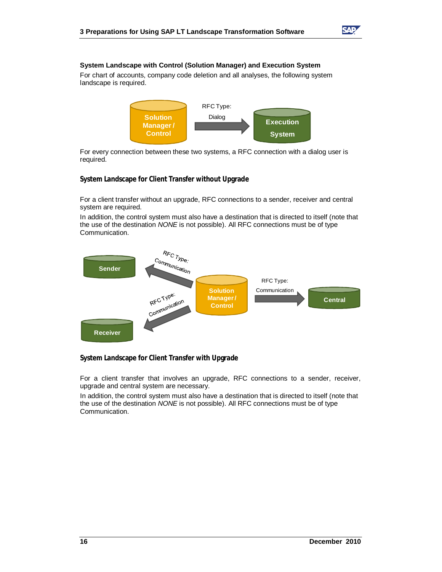

#### **System Landscape with Control (Solution Manager) and Execution System**

For chart of accounts, company code deletion and all analyses, the following system landscape is required.



For every connection between these two systems, a RFC connection with a dialog user is required.

**System Landscape for Client Transfer without Upgrade**

For a client transfer without an upgrade, RFC connections to a sender, receiver and central system are required.

In addition, the control system must also have a destination that is directed to itself (note that the use of the destination *NONE* is not possible). All RFC connections must be of type Communication.



**System Landscape for Client Transfer with Upgrade**

For a client transfer that involves an upgrade, RFC connections to a sender, receiver, upgrade and central system are necessary.

In addition, the control system must also have a destination that is directed to itself (note that the use of the destination *NONE* is not possible). All RFC connections must be of type Communication.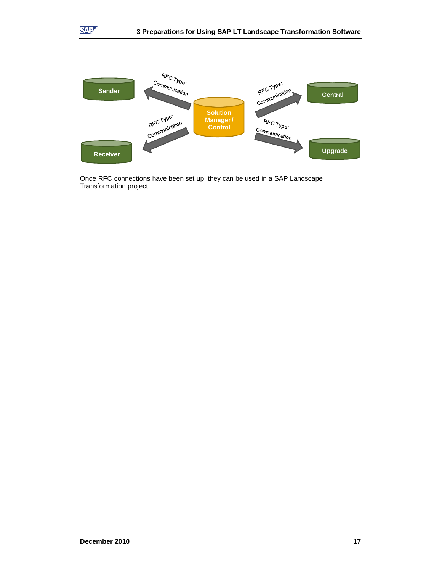



Once RFC connections have been set up, they can be used in a SAP Landscape Transformation project.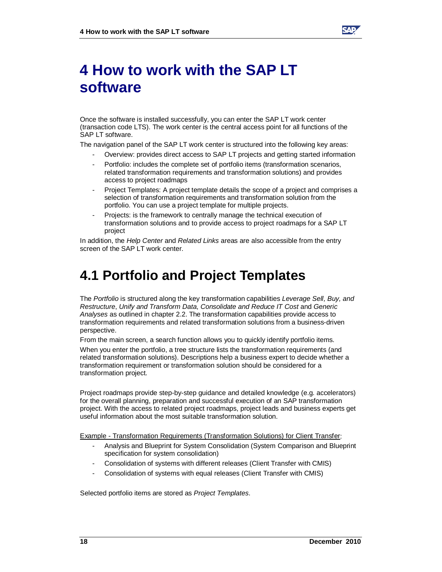

# **4 How to work with the SAP LT software**

Once the software is installed successfully, you can enter the SAP LT work center (transaction code LTS). The work center is the central access point for all functions of the SAP LT software.

The navigation panel of the SAP LT work center is structured into the following key areas:

- Overview: provides direct access to SAP LT projects and getting started information
- Portfolio: includes the complete set of portfolio items (transformation scenarios, related transformation requirements and transformation solutions) and provides access to project roadmaps
- Project Templates: A project template details the scope of a project and comprises a selection of transformation requirements and transformation solution from the portfolio. You can use a project template for multiple projects.
- Projects: is the framework to centrally manage the technical execution of transformation solutions and to provide access to project roadmaps for a SAP LT project

In addition, the *Help Center* and *Related Links* areas are also accessible from the entry screen of the SAP LT work center.

## **4.1 Portfolio and Project Templates**

The *Portfolio* is structured along the key transformation capabilities *Leverage Sell, Buy, and Restructure*, *Unify and Transform Data*, *Consolidate and Reduce IT Cost* and *Generic Analyses* as outlined in chapter 2.2. The transformation capabilities provide access to transformation requirements and related transformation solutions from a business-driven perspective.

From the main screen, a search function allows you to quickly identify portfolio items.

When you enter the portfolio, a tree structure lists the transformation requirements (and related transformation solutions). Descriptions help a business expert to decide whether a transformation requirement or transformation solution should be considered for a transformation project.

Project roadmaps provide step-by-step guidance and detailed knowledge (e.g. accelerators) for the overall planning, preparation and successful execution of an SAP transformation project. With the access to related project roadmaps, project leads and business experts get useful information about the most suitable transformation solution.

Example - Transformation Requirements (Transformation Solutions) for Client Transfer:

- Analysis and Blueprint for System Consolidation (System Comparison and Blueprint specification for system consolidation)
- Consolidation of systems with different releases (Client Transfer with CMIS)
- Consolidation of systems with equal releases (Client Transfer with CMIS)

Selected portfolio items are stored as *Project Templates*.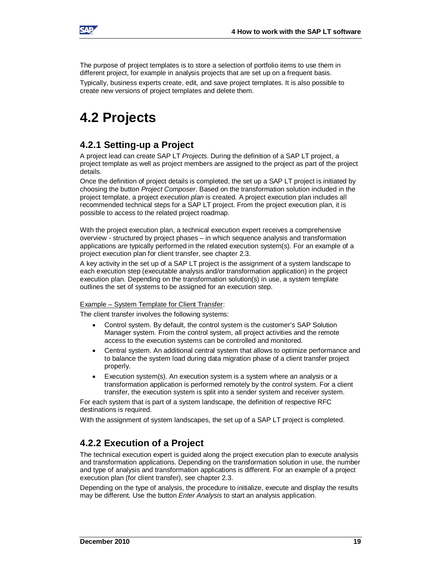

The purpose of project templates is to store a selection of portfolio items to use them in different project, for example in analysis projects that are set up on a frequent basis.

Typically, business experts create, edit, and save project templates. It is also possible to create new versions of project templates and delete them.

# **4.2 Projects**

### **4.2.1 Setting-up a Project**

A project lead can create SAP LT *Projects*. During the definition of a SAP LT project, a project template as well as project members are assigned to the project as part of the project details.

Once the definition of project details is completed, the set up a SAP LT project is initiated by choosing the button *Project Composer*. Based on the transformation solution included in the project template, a project *execution plan* is created. A project execution plan includes all recommended technical steps for a SAP LT project. From the project execution plan, it is possible to access to the related project roadmap.

With the project execution plan, a technical execution expert receives a comprehensive overview - structured by project phases – in which sequence analysis and transformation applications are typically performed in the related execution system(s). For an example of a project execution plan for client transfer, see chapter 2.3.

A key activity in the set up of a SAP LT project is the assignment of a system landscape to each execution step (executable analysis and/or transformation application) in the project execution plan. Depending on the transformation solution(s) in use, a system template outlines the set of systems to be assigned for an execution step.

#### Example – System Template for Client Transfer:

The client transfer involves the following systems:

- Control system. By default, the control system is the customer's SAP Solution Manager system. From the control system, all project activities and the remote access to the execution systems can be controlled and monitored.
- Central system. An additional central system that allows to optimize performance and to balance the system load during data migration phase of a client transfer project properly.
- Execution system(s). An execution system is a system where an analysis or a transformation application is performed remotely by the control system. For a client transfer, the execution system is split into a sender system and receiver system.

For each system that is part of a system landscape, the definition of respective RFC destinations is required.

With the assignment of system landscapes, the set up of a SAP LT project is completed.

### **4.2.2 Execution of a Project**

The technical execution expert is guided along the project execution plan to execute analysis and transformation applications. Depending on the transformation solution in use, the number and type of analysis and transformation applications is different. For an example of a project execution plan (for client transfer), see chapter 2.3.

Depending on the type of analysis, the procedure to initialize, execute and display the results may be different. Use the button *Enter Analysis* to start an analysis application.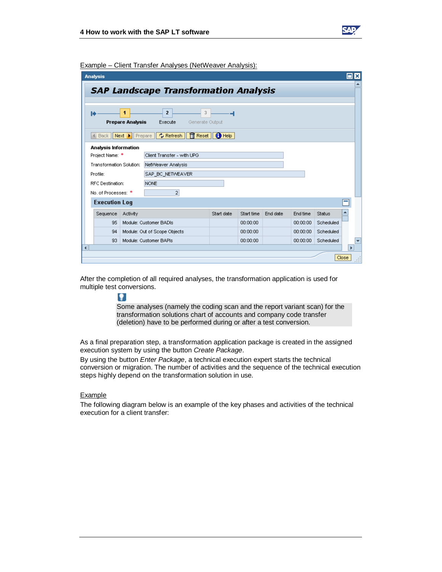

|  |  |  | Example – Client Transfer Analyses (NetWeaver Analysis): |  |  |
|--|--|--|----------------------------------------------------------|--|--|
|  |  |  |                                                          |  |  |

|   | <b>Analysis</b>                         |                              |                                                   |               |            |          |          |               | п                        | × |
|---|-----------------------------------------|------------------------------|---------------------------------------------------|---------------|------------|----------|----------|---------------|--------------------------|---|
|   |                                         |                              | <b>SAP Landscape Transformation Analysis</b>      |               |            |          |          |               |                          |   |
|   |                                         | 1<br><b>Prepare Analysis</b> | $\overline{2}$<br>3<br>Execute<br>Generate Output |               |            |          |          |               |                          |   |
|   | 4 Back                                  | $Next$ $\rightarrow$         | <b>简</b> Reset<br>$\circ$ Refresh   <br>Prepare   | <b>O</b> Help |            |          |          |               |                          |   |
|   | Analysis Information<br>Project Name: * |                              | Client Transfer - with UPG                        |               |            |          |          |               |                          |   |
|   | Transformation Solution:                |                              | NetWeaver Analysis                                |               |            |          |          |               |                          |   |
|   | Profile:                                |                              | SAP BC NETWEAVER                                  |               |            |          |          |               |                          |   |
|   | RFC Destination:                        |                              | <b>NONE</b>                                       |               |            |          |          |               |                          |   |
|   | No. of Processes: *                     |                              | $\overline{2}$                                    |               |            |          |          |               |                          |   |
|   | <b>Execution Log</b>                    |                              |                                                   |               |            |          |          |               | $\overline{\phantom{a}}$ |   |
|   | Sequence                                | Activity                     |                                                   | Start date    | Start time | End date | End time | <b>Status</b> |                          |   |
|   | 95                                      |                              | Module: Customer BADIs                            |               | 00:00:00   |          | 00:00:00 | Scheduled     |                          |   |
|   | 94                                      |                              | Module: Out of Scope Objects                      |               | 00:00:00   |          | 00:00:00 | Scheduled     |                          |   |
|   | 93                                      |                              | Module: Customer BAPIs                            |               | 00:00:00   |          | 00:00:00 | Scheduled     |                          | ٠ |
| ◂ |                                         |                              |                                                   |               |            |          |          |               | ٠                        |   |
|   |                                         |                              |                                                   |               |            |          |          |               | Close                    |   |

After the completion of all required analyses, the transformation application is used for multiple test conversions.

### 9.

Some analyses (namely the coding scan and the report variant scan) for the transformation solutions chart of accounts and company code transfer (deletion) have to be performed during or after a test conversion.

As a final preparation step, a transformation application package is created in the assigned execution system by using the button *Create Package*.

By using the button *Enter Package*, a technical execution expert starts the technical conversion or migration. The number of activities and the sequence of the technical execution steps highly depend on the transformation solution in use.

#### **Example**

The following diagram below is an example of the key phases and activities of the technical execution for a client transfer: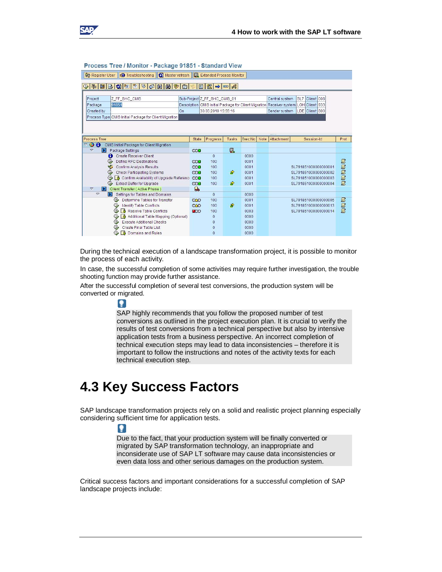

| Extended Process Monitor<br>Master refresh<br><b>2</b> Troubleshooting<br>Register User         |                                                                                      |                     |               |                |  |               |                      |                |  |  |
|-------------------------------------------------------------------------------------------------|--------------------------------------------------------------------------------------|---------------------|---------------|----------------|--|---------------|----------------------|----------------|--|--|
| $\circledR$                                                                                     |                                                                                      |                     |               |                |  |               |                      |                |  |  |
|                                                                                                 |                                                                                      |                     |               |                |  |               |                      |                |  |  |
| Client 008<br>Sub-Project Z FF SHC CMIS 01<br>SL7<br>Project<br>Z FF SHC CMIS<br>Central system |                                                                                      |                     |               |                |  |               |                      |                |  |  |
| 91851<br>Package                                                                                | Description CMIS Initial Package for Client Migration Receiver system LOH Client 933 |                     |               |                |  |               |                      |                |  |  |
| On<br>Created by                                                                                |                                                                                      | 30.03.2010 15:55:16 |               |                |  | Sender system | LDE Client 800       |                |  |  |
| Process Type CMIS Initial Package for Client Migration                                          |                                                                                      |                     |               |                |  |               |                      |                |  |  |
|                                                                                                 |                                                                                      |                     |               |                |  |               |                      |                |  |  |
|                                                                                                 |                                                                                      |                     |               |                |  |               |                      |                |  |  |
|                                                                                                 |                                                                                      |                     |               |                |  | 1.1.1.1       |                      |                |  |  |
| <b>Process Tree</b>                                                                             | State                                                                                | Progress            | Tasks         | Exec.No   Note |  | Attachment    | Session-Id           | Prot           |  |  |
| $\boldsymbol{\Theta}$<br>$\bullet$<br>$\Delta$<br>CMIS Initial Package for Client Migration     |                                                                                      |                     |               |                |  |               |                      |                |  |  |
| $\triangledown$<br>D<br>Package Settings                                                        | $\infty$                                                                             |                     | 口             |                |  |               |                      |                |  |  |
| G<br>Create Receiver Client                                                                     |                                                                                      | $\overline{0}$      |               | 0000           |  |               |                      |                |  |  |
| ⊕<br>Define RFC Destinations                                                                    | $\infty$                                                                             | 100                 |               | 0001           |  |               |                      | $\varXi$       |  |  |
| «<br>Confirm Analysis Results                                                                   | $\infty$                                                                             | 100                 |               | 0001           |  |               | SL79185100000000001  | $\mathbf{E}$   |  |  |
| ⊕<br><b>Check Participating Systems</b>                                                         | $\infty$                                                                             | 100                 | $\Rightarrow$ | 0001           |  |               | SL791851000000000002 | $\mathbf{\Xi}$ |  |  |
| ⊕<br>Confirm Availability of Upgrade Reference<br>$\bullet$                                     | $\infty$                                                                             | 100                 |               | 0001           |  |               | SL791851000000000003 | $\mathbf \Xi$  |  |  |
| ⊕<br><b>Extract Buffer for Upgrade</b>                                                          | $\infty$                                                                             | 100                 | ₽             | 0001           |  |               | SL791851000000000004 | s              |  |  |
| $\triangledown$<br>Client Transfer (Active Phase)<br><b>ID</b>                                  | ₿                                                                                    |                     |               |                |  |               |                      |                |  |  |
| $\triangledown$<br>Settings for Tables and Domains<br>D                                         |                                                                                      | $\alpha$            |               | 0000           |  |               |                      |                |  |  |
| ⊕<br>Determine Tables for Transfer                                                              | $\infty$                                                                             | 100                 |               | 0001           |  |               | SL791851000000000005 | s              |  |  |
| ®<br><b>Identify Table Conflicts</b>                                                            | $\infty$                                                                             | 100                 | ₽             | 0001           |  |               | SL791851000000000013 | $\varXi$       |  |  |
| ®<br>Resolve Table Conflicts                                                                    | 000                                                                                  | 100                 |               | 0003           |  |               | SL791851000000000014 | $\square$      |  |  |
| ⊕<br>Additional Table Mapping (Optional)                                                        |                                                                                      | $\mathbf 0$         |               | 0000           |  |               |                      |                |  |  |
| ⊕<br><b>Execute Additional Checks</b>                                                           |                                                                                      | $\mathbf{0}$        |               | 0000           |  |               |                      |                |  |  |
| ⊕<br><b>Create Final Table List</b>                                                             |                                                                                      | $\mathbf 0$         |               | 0000           |  |               |                      |                |  |  |
| $\Box$<br>⊕<br>Domains and Rules                                                                |                                                                                      | $\mathbf 0$         |               | 0000           |  |               |                      |                |  |  |

Process Tree / Monitor - Package 91851 - Standard View

During the technical execution of a landscape transformation project, it is possible to monitor the process of each activity.

In case, the successful completion of some activities may require further investigation, the trouble shooting function may provide further assistance.

After the successful completion of several test conversions, the production system will be converted or migrated.

### 9.

SAP highly recommends that you follow the proposed number of test conversions as outlined in the project execution plan. It is crucial to verify the results of test conversions from a technical perspective but also by intensive application tests from a business perspective. An incorrect completion of technical execution steps may lead to data inconsistencies – therefore it is important to follow the instructions and notes of the activity texts for each technical execution step.

## **4.3 Key Success Factors**

SAP landscape transformation projects rely on a solid and realistic project planning especially considering sufficient time for application tests.

### 9.

Due to the fact, that your production system will be finally converted or migrated by SAP transformation technology, an inappropriate and inconsiderate use of SAP LT software may cause data inconsistencies or even data loss and other serious damages on the production system.

Critical success factors and important considerations for a successful completion of SAP landscape projects include: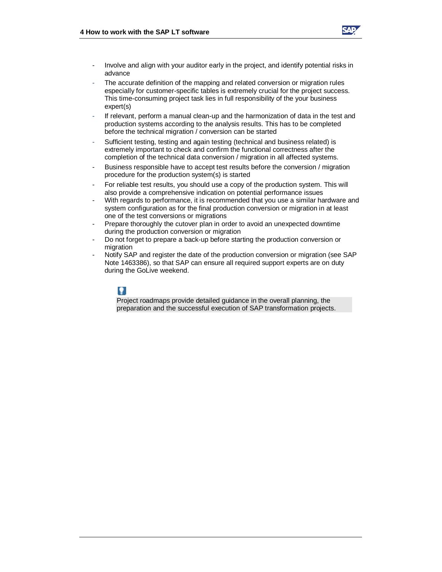

- Involve and align with your auditor early in the project, and identify potential risks in advance
- The accurate definition of the mapping and related conversion or migration rules especially for customer-specific tables is extremely crucial for the project success. This time-consuming project task lies in full responsibility of the your business expert(s)
- If relevant, perform a manual clean-up and the harmonization of data in the test and production systems according to the analysis results. This has to be completed before the technical migration / conversion can be started
- Sufficient testing, testing and again testing (technical and business related) is extremely important to check and confirm the functional correctness after the completion of the technical data conversion / migration in all affected systems.
- Business responsible have to accept test results before the conversion / migration procedure for the production system(s) is started
- For reliable test results, you should use a copy of the production system. This will also provide a comprehensive indication on potential performance issues
- With regards to performance, it is recommended that you use a similar hardware and system configuration as for the final production conversion or migration in at least one of the test conversions or migrations
- Prepare thoroughly the cutover plan in order to avoid an unexpected downtime during the production conversion or migration
- Do not forget to prepare a back-up before starting the production conversion or migration
- Notify SAP and register the date of the production conversion or migration (see SAP Note 1463386), so that SAP can ensure all required support experts are on duty during the GoLive weekend.

### 9.

Project roadmaps provide detailed guidance in the overall planning, the preparation and the successful execution of SAP transformation projects.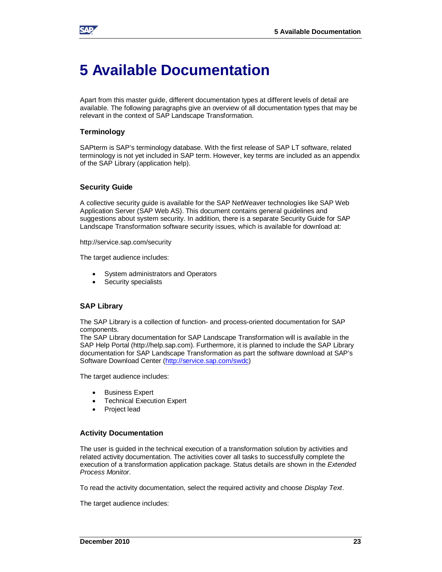

# **5 Available Documentation**

Apart from this master guide, different documentation types at different levels of detail are available. The following paragraphs give an overview of all documentation types that may be relevant in the context of SAP Landscape Transformation.

### **Terminology**

SAPterm is SAP's terminology database. With the first release of SAP LT software, related terminology is not yet included in SAP term. However, key terms are included as an appendix of the SAP Library (application help).

### **Security Guide**

A collective security guide is available for the SAP NetWeaver technologies like SAP Web Application Server (SAP Web AS). This document contains general guidelines and suggestions about system security. In addition, there is a separate Security Guide for SAP Landscape Transformation software security issues, which is available for download at:

<http://service.sap.com/security>

The target audience includes:

- System administrators and Operators
- Security specialists

### **SAP Library**

The SAP Library is a collection of function- and process-oriented documentation for SAP components.

The SAP Library documentation for SAP Landscape Transformation will is available in the SAP Help Portal ([http://help.sap.com\).](http://help.sap.com).) Furthermore, it is planned to include the SAP Library documentation for SAP Landscape Transformation as part the software download at SAP's Software Download Center [\(http://service.sap.com/swdc\)](http://service.sap.com/swdc)

The target audience includes:

- **Business Expert**
- **Technical Execution Expert**
- Project lead

#### **Activity Documentation**

The user is guided in the technical execution of a transformation solution by activities and related activity documentation. The activities cover all tasks to successfully complete the execution of a transformation application package. Status details are shown in the *Extended Process Monitor*.

To read the activity documentation, select the required activity and choose *Display Text*.

The target audience includes: